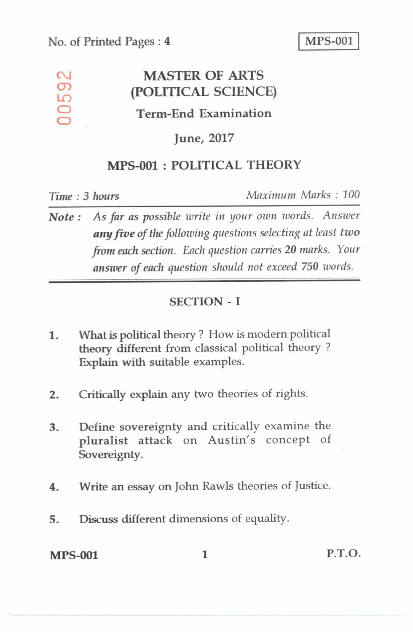# **MASTER OF ARTS (POLITICAL SCIENCE)**

## **Term-End Examination**

#### **June, 2017**

## **MPS-001 : POLITICAL THEORY**

 $\frac{\Omega}{\Omega}$ 

O LO  $\bigcirc$ 

*Time : 3 hours Maximum Marks : 100* 

*Note : As far as possible write in your own words. Answer*  **any** *five of the following questions selecting at least two from each section. Each question carries 20 marks. Your answer of each question should not exceed 750 words.* 

#### SECTION - I

- **1. What** is political theory ? How is modern political theory different from classical political theory ? Explain with suitable examples.
- 2. Critically explain any two theories of rights.
- 3. Define sovereignty and critically examine the pluralist attack on Austin's concept of Sovereignty.
- 4. Write an essay on John Rawls theories of Justice.
- 5. Discuss different dimensions of equality.

MPS-001 1 P.T.O.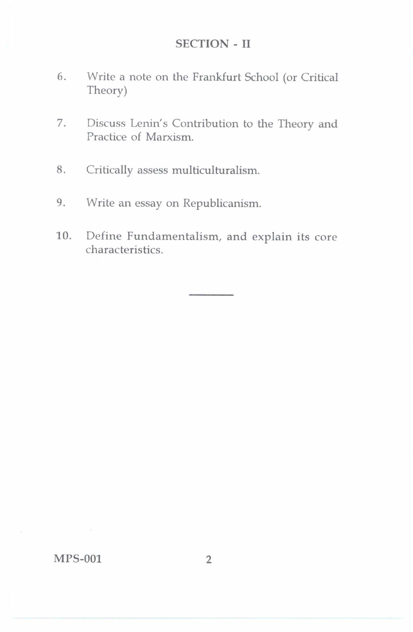#### SECTION - II

- 6. Write a note on the Frankfurt School (or Critical Theory)
- 7. Discuss Lenin's Contribution to the Theory and Practice of Marxism.
- 8. Critically assess multiculturalism.
- 9. Write an essay on Republicanism.
- 10. Define Fundamentalism, and explain its core characteristics.

MPS-001 2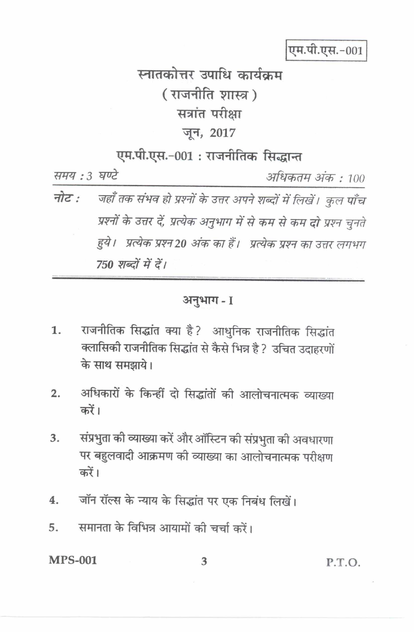एम.पी.एस.-001

## स्नातकोत्तर उपाधि कार्यक्रम (राजनीति शास्त्र) सत्रांत परीक्षा जून, 2017

## एम.पी.एस.-001: राजनीतिक सिद्धान्त

समय : 3 घण्टे

अधिकतम अंक : 100

जहाँ तक संभव हो प्रश्नों के उत्तर अपने शब्दों में लिखें। कुल पाँच नोट : प्रश्नों के उत्तर दें, प्रत्येक अनुभाग में से कम से कम दो प्रश्न चुनते हुये। प्रत्येक प्रश्न20 अंक का हैं। प्रत्येक प्रश्न का उत्तर लगभग 750 शब्दों में दें।

#### अनुभाग-1

- राजनीतिक सिद्धांत क्या है? आधुनिक राजनीतिक सिद्धांत 1. क्लासिकी राजनीतिक सिद्धांत से कैसे भिन्न है ? उचित उदाहरणों के साथ समझाये।
- अधिकारों के किन्हीं दो सिद्धांतों की आलोचनात्मक व्याख्या  $2.$ कों।
- संप्रभुता की व्याख्या करें और ऑस्टिन की संप्रभुता की अवधारणा  $3<sub>1</sub>$ पर बहुलवादी आक्रमण की व्याख्या का आलोचनात्मक परीक्षण करें।
- जॉन रॉल्स के न्याय के सिद्धांत पर एक निबंध लिखें। 4.
- समानता के विभिन्न आयामों की चर्चा करें। 5.

#### **MPS-001**

P.T.O.